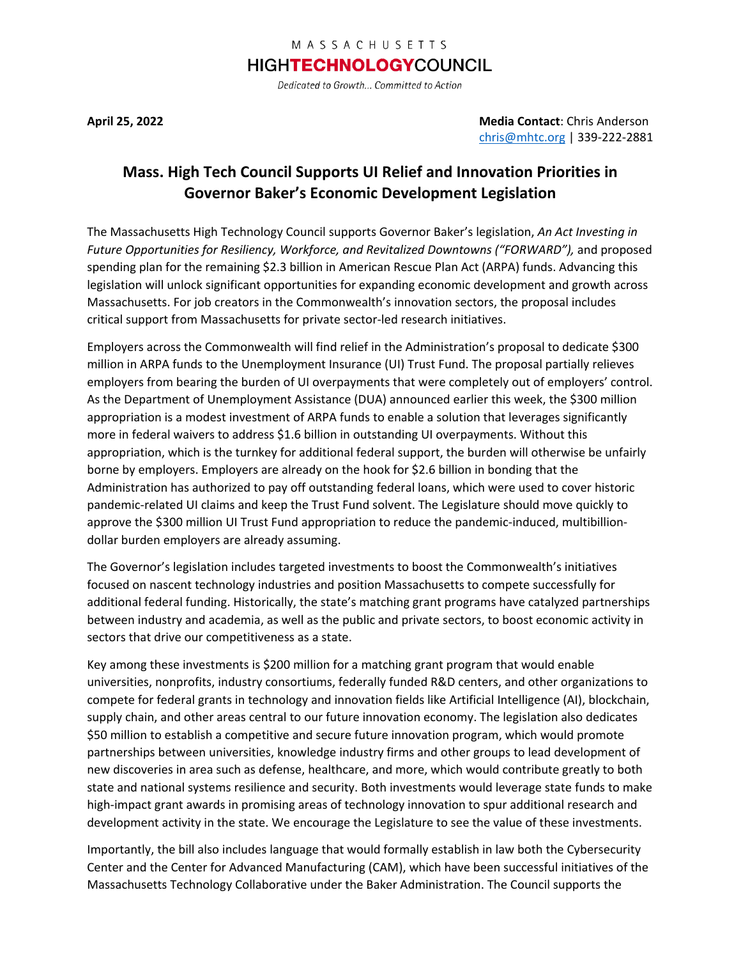## MASSACHUSETTS

## **HIGHTECHNOLOGY**COUNCIL

Dedicated to Growth... Committed to Action

**April 25, 2022 Media Contact**: Chris Anderson [chris@mhtc.org](mailto:chris@mhtc.org) | 339-222-2881

## **Mass. High Tech Council Supports UI Relief and Innovation Priorities in Governor Baker's Economic Development Legislation**

The Massachusetts High Technology Council supports Governor Baker's legislation, *An Act Investing in Future Opportunities for Resiliency, Workforce, and Revitalized Downtowns ("FORWARD"),* and proposed spending plan for the remaining \$2.3 billion in American Rescue Plan Act (ARPA) funds. Advancing this legislation will unlock significant opportunities for expanding economic development and growth across Massachusetts. For job creators in the Commonwealth's innovation sectors, the proposal includes critical support from Massachusetts for private sector-led research initiatives.

Employers across the Commonwealth will find relief in the Administration's proposal to dedicate \$300 million in ARPA funds to the Unemployment Insurance (UI) Trust Fund. The proposal partially relieves employers from bearing the burden of UI overpayments that were completely out of employers' control. As the Department of Unemployment Assistance (DUA) announced earlier this week, the \$300 million appropriation is a modest investment of ARPA funds to enable a solution that leverages significantly more in federal waivers to address \$1.6 billion in outstanding UI overpayments. Without this appropriation, which is the turnkey for additional federal support, the burden will otherwise be unfairly borne by employers. Employers are already on the hook for \$2.6 billion in bonding that the Administration has authorized to pay off outstanding federal loans, which were used to cover historic pandemic-related UI claims and keep the Trust Fund solvent. The Legislature should move quickly to approve the \$300 million UI Trust Fund appropriation to reduce the pandemic-induced, multibilliondollar burden employers are already assuming.

The Governor's legislation includes targeted investments to boost the Commonwealth's initiatives focused on nascent technology industries and position Massachusetts to compete successfully for additional federal funding. Historically, the state's matching grant programs have catalyzed partnerships between industry and academia, as well as the public and private sectors, to boost economic activity in sectors that drive our competitiveness as a state.

Key among these investments is \$200 million for a matching grant program that would enable universities, nonprofits, industry consortiums, federally funded R&D centers, and other organizations to compete for federal grants in technology and innovation fields like Artificial Intelligence (AI), blockchain, supply chain, and other areas central to our future innovation economy. The legislation also dedicates \$50 million to establish a competitive and secure future innovation program, which would promote partnerships between universities, knowledge industry firms and other groups to lead development of new discoveries in area such as defense, healthcare, and more, which would contribute greatly to both state and national systems resilience and security. Both investments would leverage state funds to make high-impact grant awards in promising areas of technology innovation to spur additional research and development activity in the state. We encourage the Legislature to see the value of these investments.

Importantly, the bill also includes language that would formally establish in law both the Cybersecurity Center and the Center for Advanced Manufacturing (CAM), which have been successful initiatives of the Massachusetts Technology Collaborative under the Baker Administration. The Council supports the